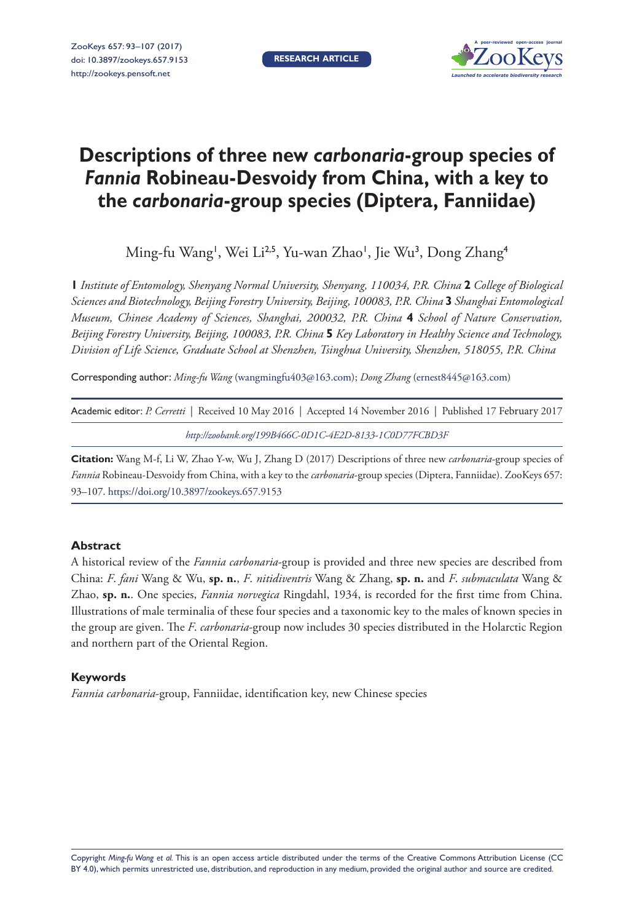

# **Descriptions of three new** *carbonaria***-group species of**  *Fannia* **Robineau-Desvoidy from China, with a key to the** *carbonaria***-group species (Diptera, Fanniidae)**

Ming-fu Wang', Wei Li<sup>2,5</sup>, Yu-wan Zhao', Jie Wu<sup>3</sup>, Dong Zhang<sup>4</sup>

**1** *Institute of Entomology, Shenyang Normal University, Shenyang, 110034, P.R. China* **2** *College of Biological Sciences and Biotechnology, Beijing Forestry University, Beijing, 100083, P.R. China* **3** *Shanghai Entomological Museum, Chinese Academy of Sciences, Shanghai, 200032, P.R. China* **4** *School of Nature Conservation, Beijing Forestry University, Beijing, 100083, P.R. China* **5** *Key Laboratory in Healthy Science and Technology, Division of Life Science, Graduate School at Shenzhen, Tsinghua University, Shenzhen, 518055, P.R. China*

Corresponding author: *Ming-fu Wang* ([wangmingfu403@163.com](mailto:wangmingfu403@163.com)); *Dong Zhang* [\(ernest8445@163.com\)](mailto:ernest8445@163.com)

| Academic editor: P. Cerretti   Received 10 May 2016   Accepted 14 November 2016   Published 17 February 2017 |  |
|--------------------------------------------------------------------------------------------------------------|--|
| http://zoobank.org/199B466C-0D1C-4E2D-8133-1C0D77FCBD3F                                                      |  |

**Citation:** Wang M-f, Li W, Zhao Y-w, Wu J, Zhang D (2017) Descriptions of three new *carbonaria*-group species of *Fannia* Robineau-Desvoidy from China, with a key to the *carbonaria*-group species (Diptera, Fanniidae). ZooKeys 657: 93–107. <https://doi.org/10.3897/zookeys.657.9153>

### **Abstract**

A historical review of the *Fannia carbonaria*-group is provided and three new species are described from China: *F*. *fani* Wang & Wu, **sp. n.**, *F*. *nitidiventris* Wang & Zhang, **sp. n.** and *F*. *submaculata* Wang & Zhao, **sp. n.**. One species, *Fannia norvegica* Ringdahl, 1934, is recorded for the first time from China. Illustrations of male terminalia of these four species and a taxonomic key to the males of known species in the group are given. The *F*. *carbonaria*-group now includes 30 species distributed in the Holarctic Region and northern part of the Oriental Region.

#### **Keywords**

*Fannia carbonaria*-group, Fanniidae, identification key, new Chinese species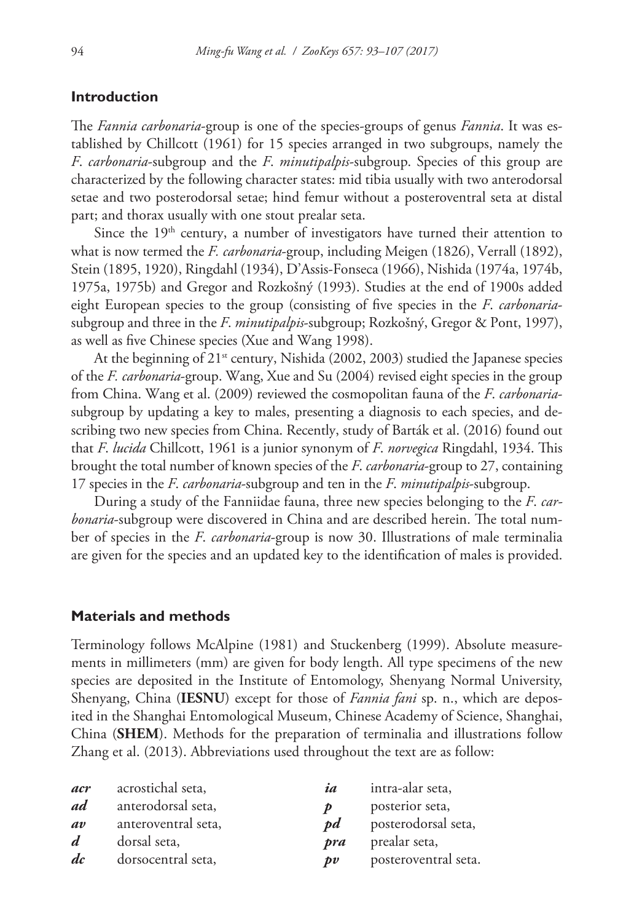#### **Introduction**

The *Fannia carbonaria*-group is one of the species-groups of genus *Fannia*. It was established by Chillcott (1961) for 15 species arranged in two subgroups, namely the *F*. *carbonaria*-subgroup and the *F*. *minutipalpis*-subgroup. Species of this group are characterized by the following character states: mid tibia usually with two anterodorsal setae and two posterodorsal setae; hind femur without a posteroventral seta at distal part; and thorax usually with one stout prealar seta.

Since the  $19<sup>th</sup>$  century, a number of investigators have turned their attention to what is now termed the *F. carbonaria*-group, including Meigen (1826), Verrall (1892), Stein (1895, 1920), Ringdahl (1934), D'Assis-Fonseca (1966), Nishida (1974a, 1974b, 1975a, 1975b) and Gregor and Rozkošný (1993). Studies at the end of 1900s added eight European species to the group (consisting of five species in the *F*. *carbonaria*subgroup and three in the *F*. *minutipalpis*-subgroup; Rozkošný, Gregor & Pont, 1997), as well as five Chinese species (Xue and Wang 1998).

At the beginning of  $21<sup>st</sup>$  century, Nishida (2002, 2003) studied the Japanese species of the *F. carbonaria*-group. Wang, Xue and Su (2004) revised eight species in the group from China. Wang et al. (2009) reviewed the cosmopolitan fauna of the *F*. *carbonaria*subgroup by updating a key to males, presenting a diagnosis to each species, and describing two new species from China. Recently, study of Barták et al. (2016) found out that *F*. *lucida* Chillcott, 1961 is a junior synonym of *F*. *norvegica* Ringdahl, 1934. This brought the total number of known species of the *F*. *carbonaria*-group to 27, containing 17 species in the *F*. *carbonaria*-subgroup and ten in the *F*. *minutipalpis*-subgroup.

During a study of the Fanniidae fauna, three new species belonging to the *F*. *carbonaria*-subgroup were discovered in China and are described herein. The total number of species in the *F*. *carbonaria*-group is now 30. Illustrations of male terminalia are given for the species and an updated key to the identification of males is provided.

#### **Materials and methods**

Terminology follows McAlpine (1981) and Stuckenberg (1999). Absolute measurements in millimeters (mm) are given for body length. All type specimens of the new species are deposited in the Institute of Entomology, Shenyang Normal University, Shenyang, China (**IESNU**) except for those of *Fannia fani* sp. n., which are deposited in the Shanghai Entomological Museum, Chinese Academy of Science, Shanghai, China (**SHEM**). Methods for the preparation of terminalia and illustrations follow Zhang et al. (2013). Abbreviations used throughout the text are as follow:

| acr              | acrostichal seta,   | ia               | intra-alar seta,     |
|------------------|---------------------|------------------|----------------------|
| ad               | anterodorsal seta,  | D                | posterior seta,      |
| av               | anteroventral seta, | pd               | posterodorsal seta,  |
| $\boldsymbol{d}$ | dorsal seta,        | pra              | prealar seta,        |
| $\frac{d}{c}$    | dorsocentral seta,  | $\boldsymbol{v}$ | posteroventral seta. |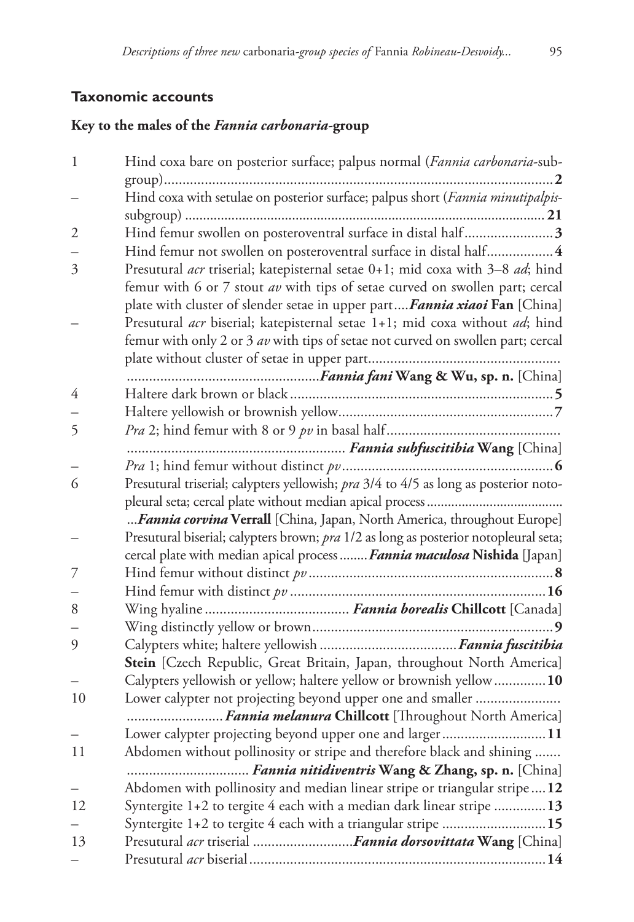# **Taxonomic accounts**

# **Key to the males of the** *Fannia carbonaria-***group**

| $\mathbf{1}$ | Hind coxa bare on posterior surface; palpus normal (Fannia carbonaria-sub-           |
|--------------|--------------------------------------------------------------------------------------|
|              |                                                                                      |
|              | Hind coxa with setulae on posterior surface; palpus short (Fannia minutipalpis-      |
|              |                                                                                      |
| 2            | Hind femur swollen on posteroventral surface in distal half3                         |
|              | Hind femur not swollen on posteroventral surface in distal half 4                    |
| 3            | Presutural acr triserial; katepisternal setae 0+1; mid coxa with 3-8 ad; hind        |
|              | femur with 6 or 7 stout av with tips of setae curved on swollen part; cercal         |
|              | plate with cluster of slender setae in upper part Fannia xiaoi Fan [China]           |
|              | Presutural acr biserial; katepisternal setae 1+1; mid coxa without ad; hind          |
|              | femur with only 2 or 3 av with tips of setae not curved on swollen part; cercal      |
|              |                                                                                      |
|              |                                                                                      |
| 4            |                                                                                      |
|              |                                                                                      |
| 5            |                                                                                      |
|              |                                                                                      |
|              |                                                                                      |
| 6            | Presutural triserial; calypters yellowish; pra 3/4 to 4/5 as long as posterior noto- |
|              |                                                                                      |
|              | Fannia corvina Verrall [China, Japan, North America, throughout Europe]              |
|              | Presutural biserial; calypters brown; pra 1/2 as long as posterior notopleural seta; |
|              | cercal plate with median apical process  Fannia maculosa Nishida [Japan]             |
| 7            |                                                                                      |
|              |                                                                                      |
| 8            |                                                                                      |
|              |                                                                                      |
| 9            |                                                                                      |
|              | Stein [Czech Republic, Great Britain, Japan, throughout North America]               |
|              | Calypters yellowish or yellow; haltere yellow or brownish yellow10                   |
| 10           | Lower calypter not projecting beyond upper one and smaller                           |
|              | Fannia melanura Chillcott [Throughout North America]                                 |
|              | Lower calypter projecting beyond upper one and larger11                              |
| 11           | Abdomen without pollinosity or stripe and therefore black and shining                |
|              | Fannia nitidiventris Wang & Zhang, sp. n. [China]                                    |
|              | Abdomen with pollinosity and median linear stripe or triangular stripe12             |
| 12           | Syntergite $1+2$ to tergite 4 each with a median dark linear stripe 13               |
|              | Syntergite 1+2 to tergite 4 each with a triangular stripe 15                         |
| 13           | Presutural acr triserial Fannia dorsovittata Wang [China]                            |
|              |                                                                                      |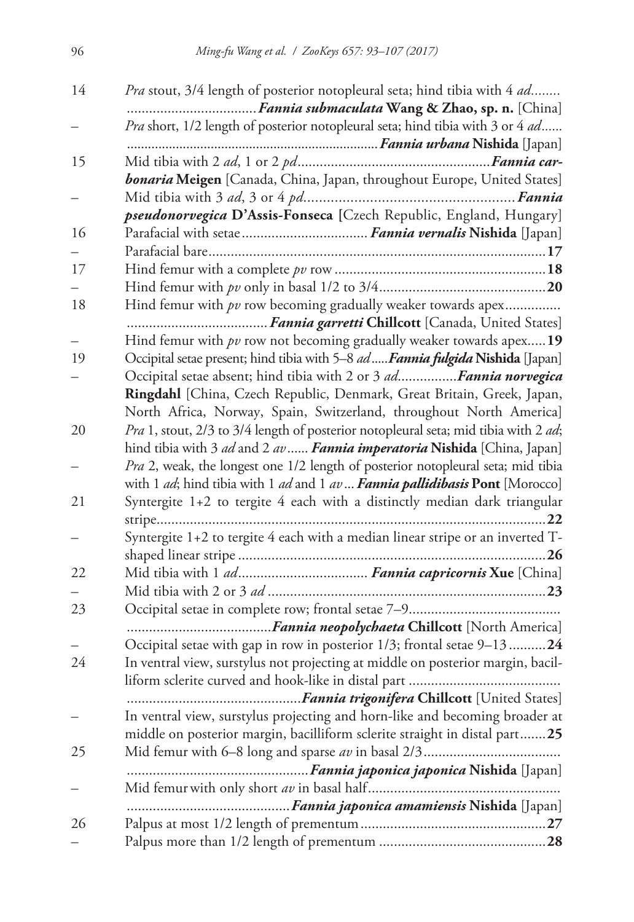| 14 | <i>Pra</i> stout, 3/4 length of posterior notopleural seta; hind tibia with 4 <i>ad</i>           |
|----|---------------------------------------------------------------------------------------------------|
|    | Pra short, 1/2 length of posterior notopleural seta; hind tibia with 3 or 4 ad                    |
|    |                                                                                                   |
| 15 |                                                                                                   |
|    | bonaria Meigen [Canada, China, Japan, throughout Europe, United States]                           |
|    |                                                                                                   |
|    | pseudonorvegica D'Assis-Fonseca [Czech Republic, England, Hungary]                                |
| 16 |                                                                                                   |
|    |                                                                                                   |
| 17 |                                                                                                   |
|    |                                                                                                   |
| 18 | Hind femur with $pv$ row becoming gradually weaker towards apex                                   |
|    |                                                                                                   |
|    | Hind femur with $pv$ row not becoming gradually weaker towards apex 19                            |
| 19 | Occipital setae present; hind tibia with 5-8 ad  Fannia fulgida Nishida [Japan]                   |
|    | Occipital setae absent; hind tibia with 2 or 3 adFannia norvegica                                 |
|    | Ringdahl [China, Czech Republic, Denmark, Great Britain, Greek, Japan,                            |
|    | North Africa, Norway, Spain, Switzerland, throughout North America]                               |
| 20 | Pra 1, stout, 2/3 to 3/4 length of posterior notopleural seta; mid tibia with 2 ad;               |
|    | hind tibia with 3 ad and 2 av  Fannia imperatoria Nishida [China, Japan]                          |
|    | Pra 2, weak, the longest one 1/2 length of posterior notopleural seta; mid tibia                  |
|    | with 1 <i>ad</i> ; hind tibia with 1 <i>ad</i> and 1 <i>av</i> Fannia pallidibasis Pont [Morocco] |
| 21 | Syntergite 1+2 to tergite 4 each with a distinctly median dark triangular                         |
|    | Syntergite 1+2 to tergite 4 each with a median linear stripe or an inverted T-                    |
|    |                                                                                                   |
| 22 |                                                                                                   |
|    |                                                                                                   |
| 23 |                                                                                                   |
|    |                                                                                                   |
|    | Occipital setae with gap in row in posterior 1/3; frontal setae 9–1324                            |
| 24 | In ventral view, surstylus not projecting at middle on posterior margin, bacil-                   |
|    |                                                                                                   |
|    |                                                                                                   |
|    | In ventral view, surstylus projecting and horn-like and becoming broader at                       |
|    | middle on posterior margin, bacilliform sclerite straight in distal part25                        |
| 25 |                                                                                                   |
|    |                                                                                                   |
|    |                                                                                                   |
|    |                                                                                                   |
| 26 |                                                                                                   |
|    |                                                                                                   |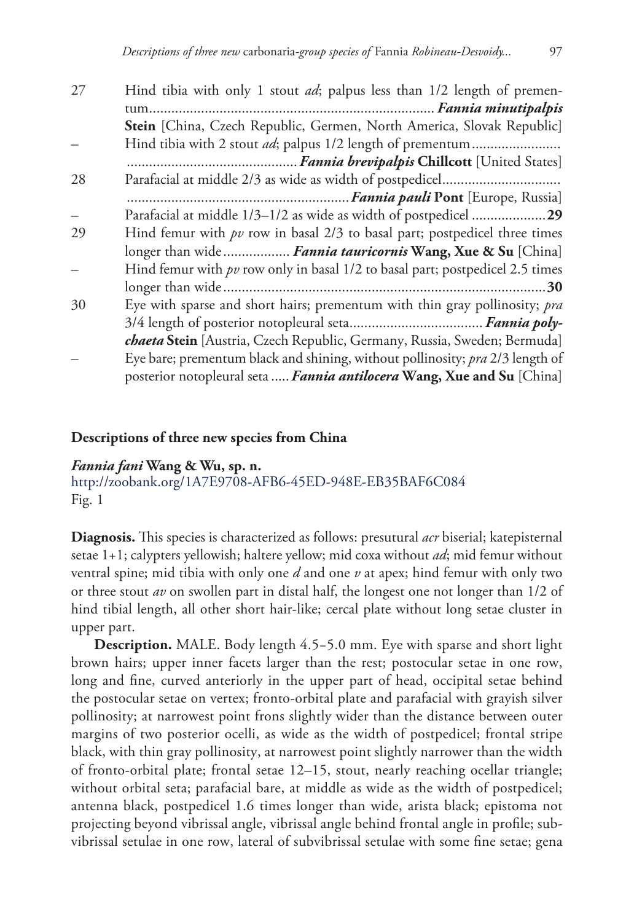| 27 | Hind tibia with only 1 stout <i>ad</i> ; palpus less than 1/2 length of premen-   |
|----|-----------------------------------------------------------------------------------|
|    |                                                                                   |
|    | Stein [China, Czech Republic, Germen, North America, Slovak Republic]             |
|    | Hind tibia with 2 stout <i>ad</i> ; palpus 1/2 length of prementum                |
|    |                                                                                   |
| 28 |                                                                                   |
|    |                                                                                   |
|    | Parafacial at middle 1/3–1/2 as wide as width of postpedicel 29                   |
| 29 | Hind femur with $pv$ row in basal $2/3$ to basal part; postpedicel three times    |
|    | longer than wide Fannia tauricornis Wang, Xue & Su [China]                        |
|    | Hind femur with $pv$ row only in basal $1/2$ to basal part; postpedicel 2.5 times |
|    |                                                                                   |
| 30 | Eye with sparse and short hairs; prementum with thin gray pollinosity; pra        |
|    |                                                                                   |
|    | chaeta Stein [Austria, Czech Republic, Germany, Russia, Sweden; Bermuda]          |
|    | Eye bare; prementum black and shining, without pollinosity; pra 2/3 length of     |
|    | posterior notopleural seta  Fannia antilocera Wang, Xue and Su [China]            |

#### **Descriptions of three new species from China**

*Fannia fani* **Wang & Wu, sp. n.**

<http://zoobank.org/1A7E9708-AFB6-45ED-948E-EB35BAF6C084> Fig. 1

**Diagnosis.** This species is characterized as follows: presutural *acr* biserial; katepisternal setae 1+1; calypters yellowish; haltere yellow; mid coxa without *ad*; mid femur without ventral spine; mid tibia with only one *d* and one *v* at apex; hind femur with only two or three stout *av* on swollen part in distal half, the longest one not longer than 1/2 of hind tibial length, all other short hair-like; cercal plate without long setae cluster in upper part.

**Description.** MALE. Body length 4.5−5.0 mm. Eye with sparse and short light brown hairs; upper inner facets larger than the rest; postocular setae in one row, long and fine, curved anteriorly in the upper part of head, occipital setae behind the postocular setae on vertex; fronto-orbital plate and parafacial with grayish silver pollinosity; at narrowest point frons slightly wider than the distance between outer margins of two posterior ocelli, as wide as the width of postpedicel; frontal stripe black, with thin gray pollinosity, at narrowest point slightly narrower than the width of fronto-orbital plate; frontal setae 12–15, stout, nearly reaching ocellar triangle; without orbital seta; parafacial bare, at middle as wide as the width of postpedicel; antenna black, postpedicel 1.6 times longer than wide, arista black; epistoma not projecting beyond vibrissal angle, vibrissal angle behind frontal angle in profile; subvibrissal setulae in one row, lateral of subvibrissal setulae with some fine setae; gena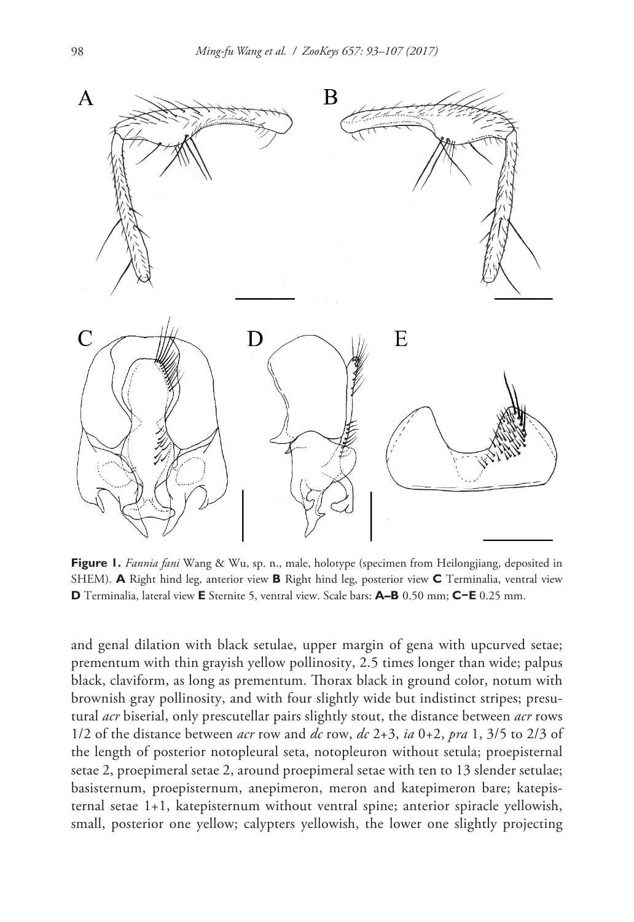

**Figure 1.** *Fannia fani* Wang & Wu, sp. n., male, holotype (specimen from Heilongjiang, deposited in SHEM). **A** Right hind leg, anterior view **B** Right hind leg, posterior view **C** Terminalia, ventral view **D** Terminalia, lateral view **E** Sternite 5, ventral view. Scale bars: **A–B** 0.50 mm; **C−E** 0.25 mm.

and genal dilation with black setulae, upper margin of gena with upcurved setae; prementum with thin grayish yellow pollinosity, 2.5 times longer than wide; palpus black, claviform, as long as prementum. Thorax black in ground color, notum with brownish gray pollinosity, and with four slightly wide but indistinct stripes; presutural *acr* biserial, only prescutellar pairs slightly stout, the distance between *acr* rows 1/2 of the distance between *acr* row and *dc* row, *dc* 2+3, *ia* 0+2, *pra* 1, 3/5 to 2/3 of the length of posterior notopleural seta, notopleuron without setula; proepisternal setae 2, proepimeral setae 2, around proepimeral setae with ten to 13 slender setulae; basisternum, proepisternum, anepimeron, meron and katepimeron bare; katepisternal setae 1+1, katepisternum without ventral spine; anterior spiracle yellowish, small, posterior one yellow; calypters yellowish, the lower one slightly projecting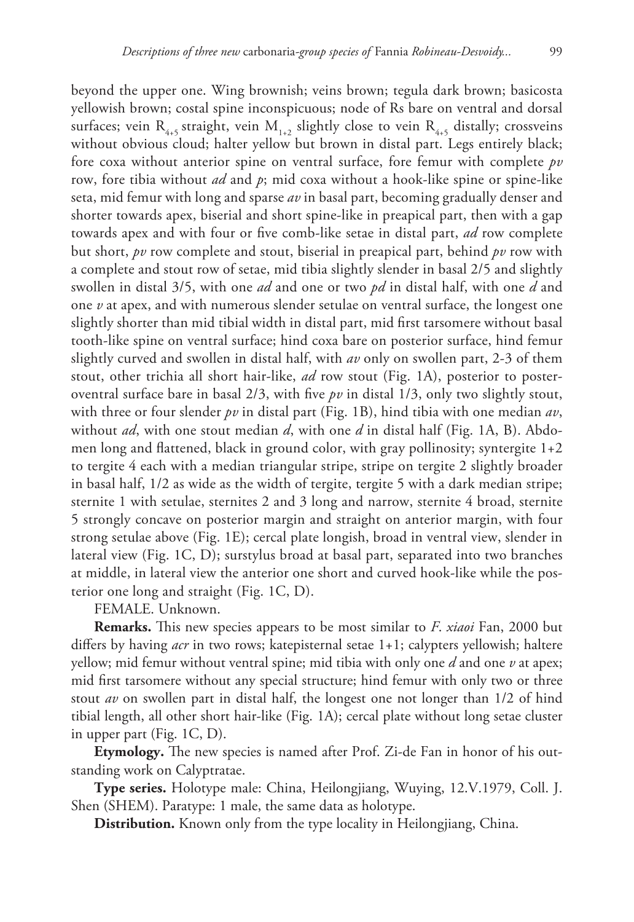beyond the upper one. Wing brownish; veins brown; tegula dark brown; basicosta yellowish brown; costal spine inconspicuous; node of Rs bare on ventral and dorsal surfaces; vein  $R_{4,5}$  straight, vein  $M_{1,2}$  slightly close to vein  $R_{4,5}$  distally; crossveins without obvious cloud; halter yellow but brown in distal part. Legs entirely black; fore coxa without anterior spine on ventral surface, fore femur with complete *pv* row, fore tibia without *ad* and *p*; mid coxa without a hook-like spine or spine-like

seta, mid femur with long and sparse *av* in basal part, becoming gradually denser and shorter towards apex, biserial and short spine-like in preapical part, then with a gap towards apex and with four or five comb-like setae in distal part, *ad* row complete but short, *pv* row complete and stout, biserial in preapical part, behind *pv* row with a complete and stout row of setae, mid tibia slightly slender in basal 2/5 and slightly swollen in distal 3/5, with one *ad* and one or two *pd* in distal half, with one *d* and one *v* at apex, and with numerous slender setulae on ventral surface, the longest one slightly shorter than mid tibial width in distal part, mid first tarsomere without basal tooth-like spine on ventral surface; hind coxa bare on posterior surface, hind femur slightly curved and swollen in distal half, with *av* only on swollen part, 2-3 of them stout, other trichia all short hair-like, *ad* row stout (Fig. 1A), posterior to posteroventral surface bare in basal  $2/3$ , with five  $pv$  in distal  $1/3$ , only two slightly stout, with three or four slender *pv* in distal part (Fig. 1B), hind tibia with one median *av*, without *ad*, with one stout median *d*, with one *d* in distal half (Fig. 1A, B). Abdomen long and flattened, black in ground color, with gray pollinosity; syntergite  $1+2$ to tergite 4 each with a median triangular stripe, stripe on tergite 2 slightly broader in basal half, 1/2 as wide as the width of tergite, tergite 5 with a dark median stripe; sternite 1 with setulae, sternites 2 and 3 long and narrow, sternite 4 broad, sternite 5 strongly concave on posterior margin and straight on anterior margin, with four strong setulae above (Fig. 1E); cercal plate longish, broad in ventral view, slender in lateral view (Fig. 1C, D); surstylus broad at basal part, separated into two branches at middle, in lateral view the anterior one short and curved hook-like while the posterior one long and straight (Fig. 1C, D).

FEMALE. Unknown.

**Remarks.** This new species appears to be most similar to *F*. *xiaoi* Fan, 2000 but differs by having *acr* in two rows; katepisternal setae 1+1; calypters yellowish; haltere yellow; mid femur without ventral spine; mid tibia with only one *d* and one *v* at apex; mid first tarsomere without any special structure; hind femur with only two or three stout *av* on swollen part in distal half, the longest one not longer than 1/2 of hind tibial length, all other short hair-like (Fig. 1A); cercal plate without long setae cluster in upper part (Fig. 1C, D).

**Etymology.** The new species is named after Prof. Zi-de Fan in honor of his outstanding work on Calyptratae.

**Type series.** Holotype male: China, Heilongjiang, Wuying, 12.V.1979, Coll. J. Shen (SHEM). Paratype: 1 male, the same data as holotype.

**Distribution.** Known only from the type locality in Heilongjiang, China.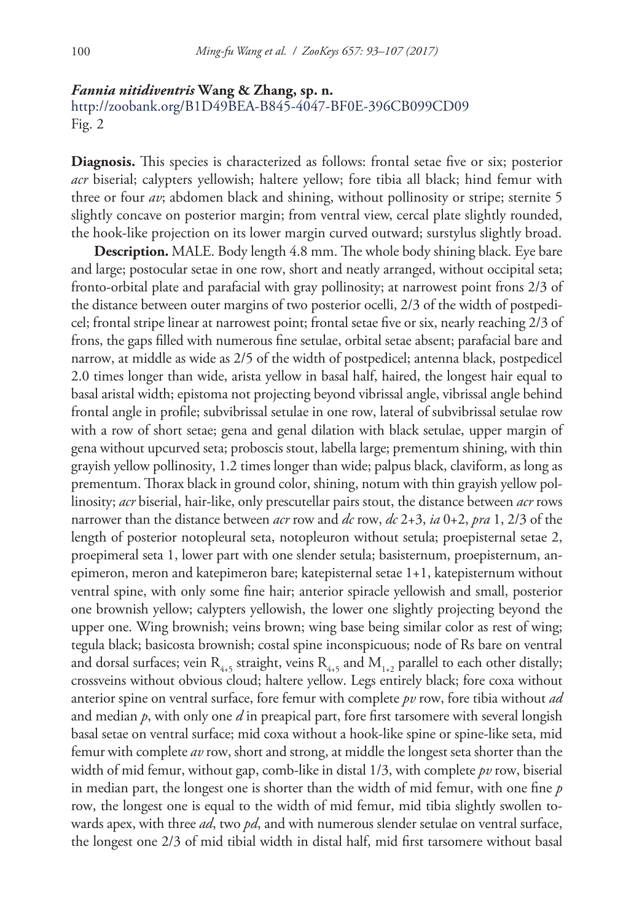#### *Fannia nitidiventris* **Wang & Zhang, sp. n.**

<http://zoobank.org/B1D49BEA-B845-4047-BF0E-396CB099CD09> Fig. 2

**Diagnosis.** This species is characterized as follows: frontal setae five or six; posterior *acr* biserial; calypters yellowish; haltere yellow; fore tibia all black; hind femur with three or four *av*; abdomen black and shining, without pollinosity or stripe; sternite 5 slightly concave on posterior margin; from ventral view, cercal plate slightly rounded, the hook-like projection on its lower margin curved outward; surstylus slightly broad.

**Description.** MALE. Body length 4.8 mm. The whole body shining black. Eye bare and large; postocular setae in one row, short and neatly arranged, without occipital seta; fronto-orbital plate and parafacial with gray pollinosity; at narrowest point frons 2/3 of the distance between outer margins of two posterior ocelli, 2/3 of the width of postpedicel; frontal stripe linear at narrowest point; frontal setae five or six, nearly reaching 2/3 of frons, the gaps filled with numerous fine setulae, orbital setae absent; parafacial bare and narrow, at middle as wide as 2/5 of the width of postpedicel; antenna black, postpedicel 2.0 times longer than wide, arista yellow in basal half, haired, the longest hair equal to basal aristal width; epistoma not projecting beyond vibrissal angle, vibrissal angle behind frontal angle in profile; subvibrissal setulae in one row, lateral of subvibrissal setulae row with a row of short setae; gena and genal dilation with black setulae, upper margin of gena without upcurved seta; proboscis stout, labella large; prementum shining, with thin grayish yellow pollinosity, 1.2 times longer than wide; palpus black, claviform, as long as prementum. Thorax black in ground color, shining, notum with thin grayish yellow pollinosity; *acr* biserial, hair-like, only prescutellar pairs stout, the distance between *acr* rows narrower than the distance between *acr* row and *dc* row, *dc* 2+3, *ia* 0+2, *pra* 1, 2/3 of the length of posterior notopleural seta, notopleuron without setula; proepisternal setae 2, proepimeral seta 1, lower part with one slender setula; basisternum, proepisternum, anepimeron, meron and katepimeron bare; katepisternal setae 1+1, katepisternum without ventral spine, with only some fine hair; anterior spiracle yellowish and small, posterior one brownish yellow; calypters yellowish, the lower one slightly projecting beyond the upper one. Wing brownish; veins brown; wing base being similar color as rest of wing; tegula black; basicosta brownish; costal spine inconspicuous; node of Rs bare on ventral and dorsal surfaces; vein  $R_{4+5}$  straight, veins  $R_{4+5}$  and  $M_{1+2}$  parallel to each other distally; crossveins without obvious cloud; haltere yellow. Legs entirely black; fore coxa without anterior spine on ventral surface, fore femur with complete *pv* row, fore tibia without *ad* and median *p*, with only one *d* in preapical part, fore first tarsomere with several longish basal setae on ventral surface; mid coxa without a hook-like spine or spine-like seta, mid femur with complete *av* row, short and strong, at middle the longest seta shorter than the width of mid femur, without gap, comb-like in distal 1/3, with complete *pv* row, biserial in median part, the longest one is shorter than the width of mid femur, with one fine *p* row, the longest one is equal to the width of mid femur, mid tibia slightly swollen towards apex, with three *ad*, two *pd*, and with numerous slender setulae on ventral surface, the longest one 2/3 of mid tibial width in distal half, mid first tarsomere without basal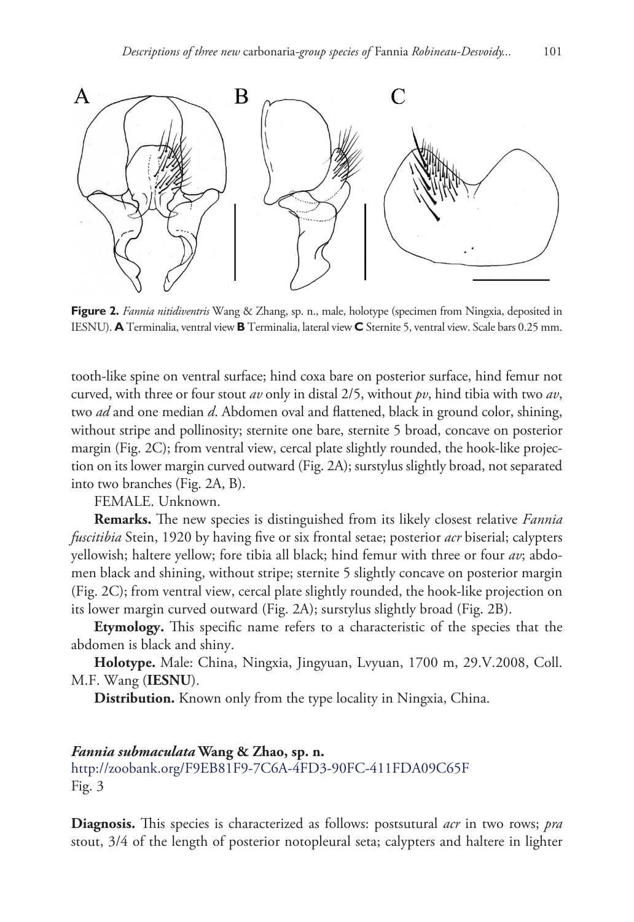

**Figure 2.** *Fannia nitidiventris* Wang & Zhang, sp. n., male, holotype (specimen from Ningxia, deposited in IESNU). **A** Terminalia, ventral view **B** Terminalia, lateral view **C** Sternite 5, ventral view. Scale bars 0.25 mm.

tooth-like spine on ventral surface; hind coxa bare on posterior surface, hind femur not curved, with three or four stout *av* only in distal 2/5, without *pv*, hind tibia with two *av*, two *ad* and one median *d*. Abdomen oval and flattened, black in ground color, shining, without stripe and pollinosity; sternite one bare, sternite 5 broad, concave on posterior margin (Fig. 2C); from ventral view, cercal plate slightly rounded, the hook-like projection on its lower margin curved outward (Fig. 2A); surstylus slightly broad, not separated into two branches (Fig. 2A, B).

FEMALE. Unknown.

**Remarks.** The new species is distinguished from its likely closest relative *Fannia fuscitibia* Stein, 1920 by having five or six frontal setae; posterior *acr* biserial; calypters yellowish; haltere yellow; fore tibia all black; hind femur with three or four *av*; abdomen black and shining, without stripe; sternite 5 slightly concave on posterior margin (Fig. 2C); from ventral view, cercal plate slightly rounded, the hook-like projection on its lower margin curved outward (Fig. 2A); surstylus slightly broad (Fig. 2B).

**Etymology.** This specific name refers to a characteristic of the species that the abdomen is black and shiny.

**Holotype.** Male: China, Ningxia, Jingyuan, Lvyuan, 1700 m, 29.V.2008, Coll. M.F. Wang (**IESNU**).

**Distribution.** Known only from the type locality in Ningxia, China.

# *Fannia submaculata* **Wang & Zhao, sp. n.**

<http://zoobank.org/F9EB81F9-7C6A-4FD3-90FC-411FDA09C65F> Fig. 3

**Diagnosis.** This species is characterized as follows: postsutural *acr* in two rows; *pra* stout, 3/4 of the length of posterior notopleural seta; calypters and haltere in lighter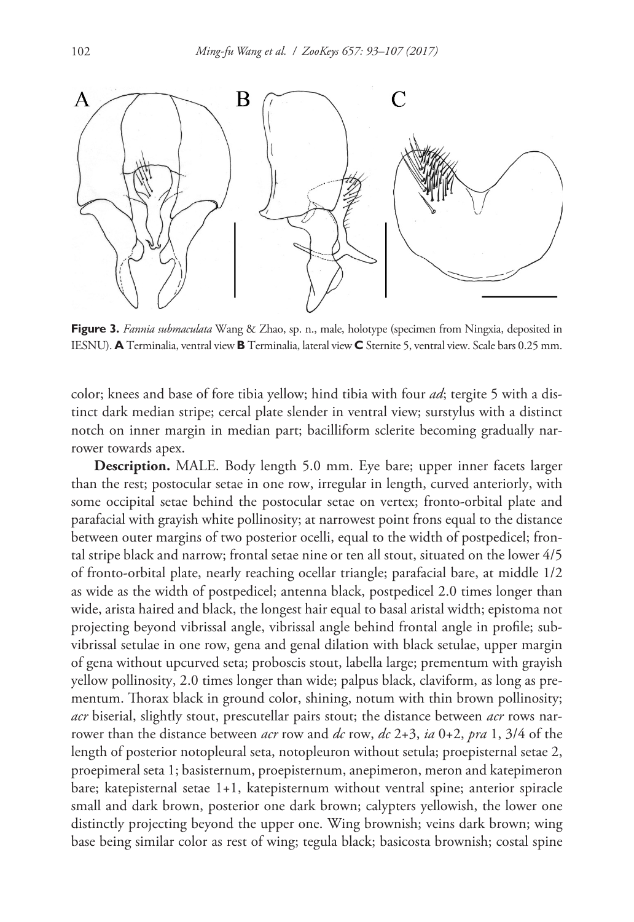

**Figure 3.** *Fannia submaculata* Wang & Zhao, sp. n., male, holotype (specimen from Ningxia, deposited in IESNU). **A** Terminalia, ventral view **B** Terminalia, lateral view **C** Sternite 5, ventral view. Scale bars 0.25 mm.

color; knees and base of fore tibia yellow; hind tibia with four *ad*; tergite 5 with a distinct dark median stripe; cercal plate slender in ventral view; surstylus with a distinct notch on inner margin in median part; bacilliform sclerite becoming gradually narrower towards apex.

**Description.** MALE. Body length 5.0 mm. Eye bare; upper inner facets larger than the rest; postocular setae in one row, irregular in length, curved anteriorly, with some occipital setae behind the postocular setae on vertex; fronto-orbital plate and parafacial with grayish white pollinosity; at narrowest point frons equal to the distance between outer margins of two posterior ocelli, equal to the width of postpedicel; frontal stripe black and narrow; frontal setae nine or ten all stout, situated on the lower 4/5 of fronto-orbital plate, nearly reaching ocellar triangle; parafacial bare, at middle 1/2 as wide as the width of postpedicel; antenna black, postpedicel 2.0 times longer than wide, arista haired and black, the longest hair equal to basal aristal width; epistoma not projecting beyond vibrissal angle, vibrissal angle behind frontal angle in profile; subvibrissal setulae in one row, gena and genal dilation with black setulae, upper margin of gena without upcurved seta; proboscis stout, labella large; prementum with grayish yellow pollinosity, 2.0 times longer than wide; palpus black, claviform, as long as prementum. Thorax black in ground color, shining, notum with thin brown pollinosity; *acr* biserial, slightly stout, prescutellar pairs stout; the distance between *acr* rows narrower than the distance between *acr* row and *dc* row, *dc* 2+3, *ia* 0+2, *pra* 1, 3/4 of the length of posterior notopleural seta, notopleuron without setula; proepisternal setae 2, proepimeral seta 1; basisternum, proepisternum, anepimeron, meron and katepimeron bare; katepisternal setae 1+1, katepisternum without ventral spine; anterior spiracle small and dark brown, posterior one dark brown; calypters yellowish, the lower one distinctly projecting beyond the upper one. Wing brownish; veins dark brown; wing base being similar color as rest of wing; tegula black; basicosta brownish; costal spine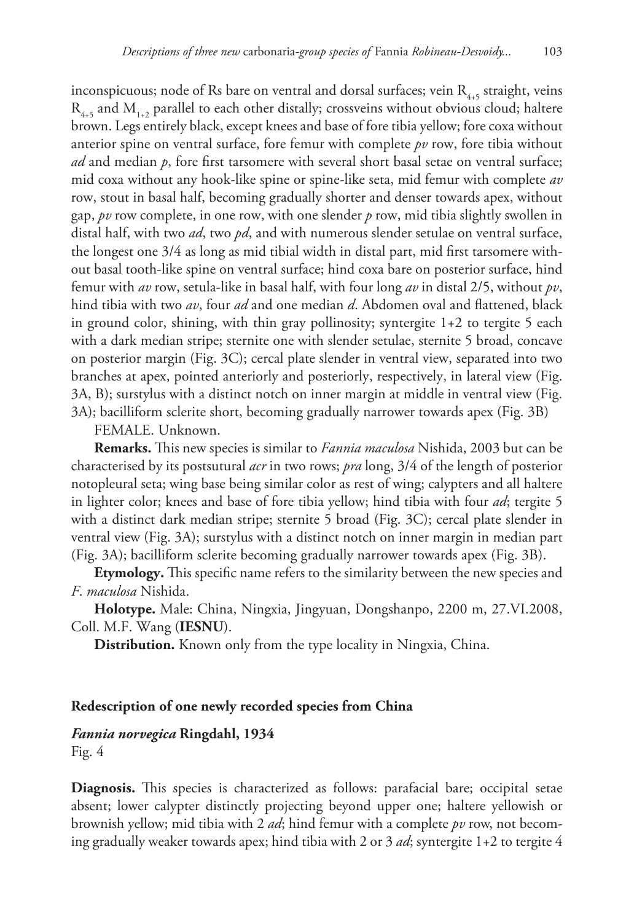inconspicuous; node of Rs bare on ventral and dorsal surfaces; vein  $R_{4,5}$  straight, veins  $R_{4,5}$  and  $M_{1,2}$  parallel to each other distally; crossveins without obvious cloud; haltere brown. Legs entirely black, except knees and base of fore tibia yellow; fore coxa without anterior spine on ventral surface, fore femur with complete *pv* row, fore tibia without *ad* and median *p*, fore first tarsomere with several short basal setae on ventral surface; mid coxa without any hook-like spine or spine-like seta, mid femur with complete *av* row, stout in basal half, becoming gradually shorter and denser towards apex, without gap, *pv* row complete, in one row, with one slender *p* row, mid tibia slightly swollen in distal half, with two *ad*, two *pd*, and with numerous slender setulae on ventral surface, the longest one 3/4 as long as mid tibial width in distal part, mid first tarsomere without basal tooth-like spine on ventral surface; hind coxa bare on posterior surface, hind femur with *av* row, setula-like in basal half, with four long *av* in distal 2/5, without *pv*, hind tibia with two *av*, four *ad* and one median *d*. Abdomen oval and flattened, black in ground color, shining, with thin gray pollinosity; syntergite 1+2 to tergite 5 each with a dark median stripe; sternite one with slender setulae, sternite 5 broad, concave on posterior margin (Fig. 3C); cercal plate slender in ventral view, separated into two branches at apex, pointed anteriorly and posteriorly, respectively, in lateral view (Fig. 3A, B); surstylus with a distinct notch on inner margin at middle in ventral view (Fig. 3A); bacilliform sclerite short, becoming gradually narrower towards apex (Fig. 3B)

FEMALE. Unknown.

**Remarks.** This new species is similar to *Fannia maculosa* Nishida, 2003 but can be characterised by its postsutural *acr* in two rows; *pra* long, 3/4 of the length of posterior notopleural seta; wing base being similar color as rest of wing; calypters and all haltere in lighter color; knees and base of fore tibia yellow; hind tibia with four *ad*; tergite 5 with a distinct dark median stripe; sternite 5 broad (Fig. 3C); cercal plate slender in ventral view (Fig. 3A); surstylus with a distinct notch on inner margin in median part (Fig. 3A); bacilliform sclerite becoming gradually narrower towards apex (Fig. 3B).

**Etymology.** This specific name refers to the similarity between the new species and *F*. *maculosa* Nishida.

**Holotype.** Male: China, Ningxia, Jingyuan, Dongshanpo, 2200 m, 27.VI.2008, Coll. M.F. Wang (**IESNU**).

**Distribution.** Known only from the type locality in Ningxia, China.

#### **Redescription of one newly recorded species from China**

#### *Fannia norvegica* **Ringdahl, 1934**

Fig. 4

**Diagnosis.** This species is characterized as follows: parafacial bare; occipital setae absent; lower calypter distinctly projecting beyond upper one; haltere yellowish or brownish yellow; mid tibia with 2 *ad*; hind femur with a complete *pv* row, not becoming gradually weaker towards apex; hind tibia with 2 or 3 *ad*; syntergite 1+2 to tergite 4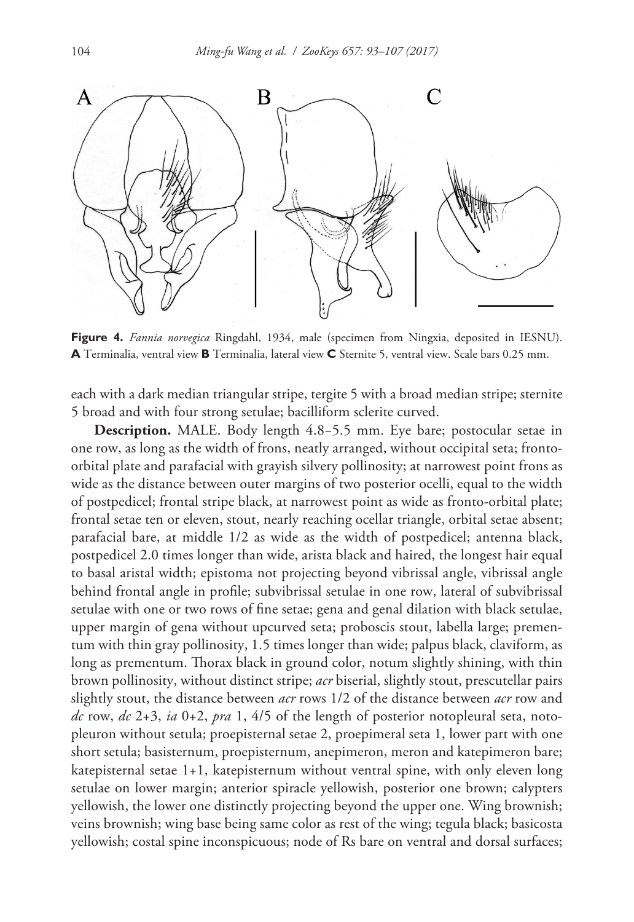

**Figure 4.** *Fannia norvegica* Ringdahl, 1934, male (specimen from Ningxia, deposited in IESNU). **A** Terminalia, ventral view **B** Terminalia, lateral view **C** Sternite 5, ventral view. Scale bars 0.25 mm.

each with a dark median triangular stripe, tergite 5 with a broad median stripe; sternite 5 broad and with four strong setulae; bacilliform sclerite curved.

**Description.** MALE. Body length 4.8−5.5 mm. Eye bare; postocular setae in one row, as long as the width of frons, neatly arranged, without occipital seta; frontoorbital plate and parafacial with grayish silvery pollinosity; at narrowest point frons as wide as the distance between outer margins of two posterior ocelli, equal to the width of postpedicel; frontal stripe black, at narrowest point as wide as fronto-orbital plate; frontal setae ten or eleven, stout, nearly reaching ocellar triangle, orbital setae absent; parafacial bare, at middle 1/2 as wide as the width of postpedicel; antenna black, postpedicel 2.0 times longer than wide, arista black and haired, the longest hair equal to basal aristal width; epistoma not projecting beyond vibrissal angle, vibrissal angle behind frontal angle in profile; subvibrissal setulae in one row, lateral of subvibrissal setulae with one or two rows of fine setae; gena and genal dilation with black setulae, upper margin of gena without upcurved seta; proboscis stout, labella large; prementum with thin gray pollinosity, 1.5 times longer than wide; palpus black, claviform, as long as prementum. Thorax black in ground color, notum slightly shining, with thin brown pollinosity, without distinct stripe; *acr* biserial, slightly stout, prescutellar pairs slightly stout, the distance between *acr* rows 1/2 of the distance between *acr* row and *dc* row, *dc* 2+3, *ia* 0+2, *pra* 1, 4/5 of the length of posterior notopleural seta, notopleuron without setula; proepisternal setae 2, proepimeral seta 1, lower part with one short setula; basisternum, proepisternum, anepimeron, meron and katepimeron bare; katepisternal setae 1+1, katepisternum without ventral spine, with only eleven long setulae on lower margin; anterior spiracle yellowish, posterior one brown; calypters yellowish, the lower one distinctly projecting beyond the upper one. Wing brownish; veins brownish; wing base being same color as rest of the wing; tegula black; basicosta yellowish; costal spine inconspicuous; node of Rs bare on ventral and dorsal surfaces;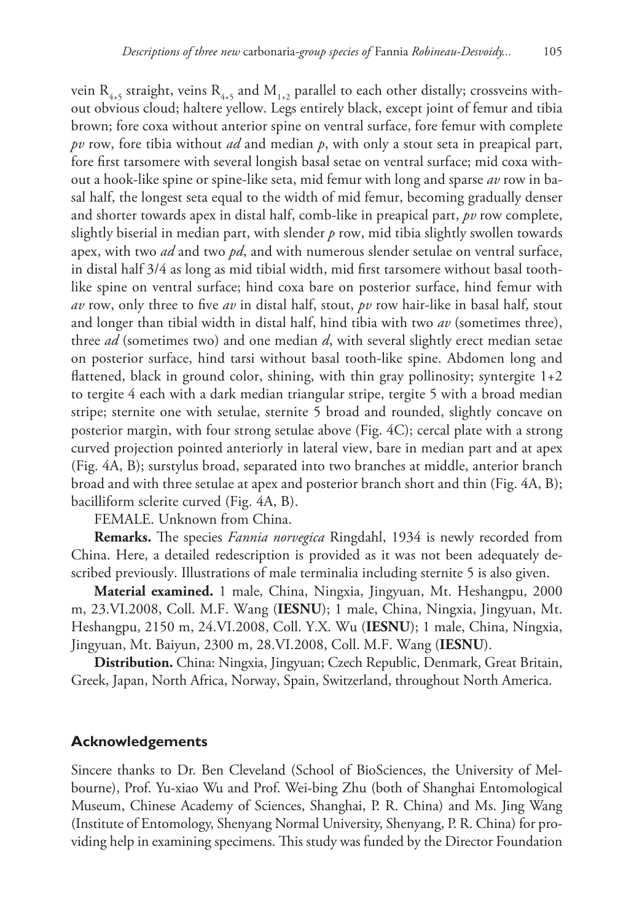vein R<sub>4+5</sub> straight, veins R<sub>4+5</sub> and M<sub>1+2</sub> parallel to each other distally; crossveins without obvious cloud; haltere yellow. Legs entirely black, except joint of femur and tibia brown; fore coxa without anterior spine on ventral surface, fore femur with complete *pv* row, fore tibia without *ad* and median *p*, with only a stout seta in preapical part, fore first tarsomere with several longish basal setae on ventral surface; mid coxa without a hook-like spine or spine-like seta, mid femur with long and sparse *av* row in basal half, the longest seta equal to the width of mid femur, becoming gradually denser and shorter towards apex in distal half, comb-like in preapical part, *pv* row complete, slightly biserial in median part, with slender *p* row, mid tibia slightly swollen towards apex, with two *ad* and two *pd*, and with numerous slender setulae on ventral surface, in distal half 3/4 as long as mid tibial width, mid first tarsomere without basal toothlike spine on ventral surface; hind coxa bare on posterior surface, hind femur with *av* row, only three to five *av* in distal half, stout, *pv* row hair-like in basal half, stout and longer than tibial width in distal half, hind tibia with two *av* (sometimes three), three *ad* (sometimes two) and one median *d*, with several slightly erect median setae on posterior surface, hind tarsi without basal tooth-like spine. Abdomen long and flattened, black in ground color, shining, with thin gray pollinosity; syntergite  $1+2$ to tergite 4 each with a dark median triangular stripe, tergite 5 with a broad median stripe; sternite one with setulae, sternite 5 broad and rounded, slightly concave on posterior margin, with four strong setulae above (Fig. 4C); cercal plate with a strong curved projection pointed anteriorly in lateral view, bare in median part and at apex (Fig. 4A, B); surstylus broad, separated into two branches at middle, anterior branch broad and with three setulae at apex and posterior branch short and thin (Fig. 4A, B); bacilliform sclerite curved (Fig. 4A, B).

FEMALE. Unknown from China.

**Remarks.** The species *Fannia norvegica* Ringdahl, 1934 is newly recorded from China. Here, a detailed redescription is provided as it was not been adequately described previously. Illustrations of male terminalia including sternite 5 is also given.

**Material examined.** 1 male, China, Ningxia, Jingyuan, Mt. Heshangpu, 2000 m, 23.VI.2008, Coll. M.F. Wang (**IESNU**); 1 male, China, Ningxia, Jingyuan, Mt. Heshangpu, 2150 m, 24.VI.2008, Coll. Y.X. Wu (**IESNU**); 1 male, China, Ningxia, Jingyuan, Mt. Baiyun, 2300 m, 28.VI.2008, Coll. M.F. Wang (**IESNU**).

**Distribution.** China: Ningxia, Jingyuan; Czech Republic, Denmark, Great Britain, Greek, Japan, North Africa, Norway, Spain, Switzerland, throughout North America.

## **Acknowledgements**

Sincere thanks to Dr. Ben Cleveland (School of BioSciences, the University of Melbourne), Prof. Yu-xiao Wu and Prof. Wei-bing Zhu (both of Shanghai Entomological Museum, Chinese Academy of Sciences, Shanghai, P. R. China) and Ms. Jing Wang (Institute of Entomology, Shenyang Normal University, Shenyang, P. R. China) for providing help in examining specimens. This study was funded by the Director Foundation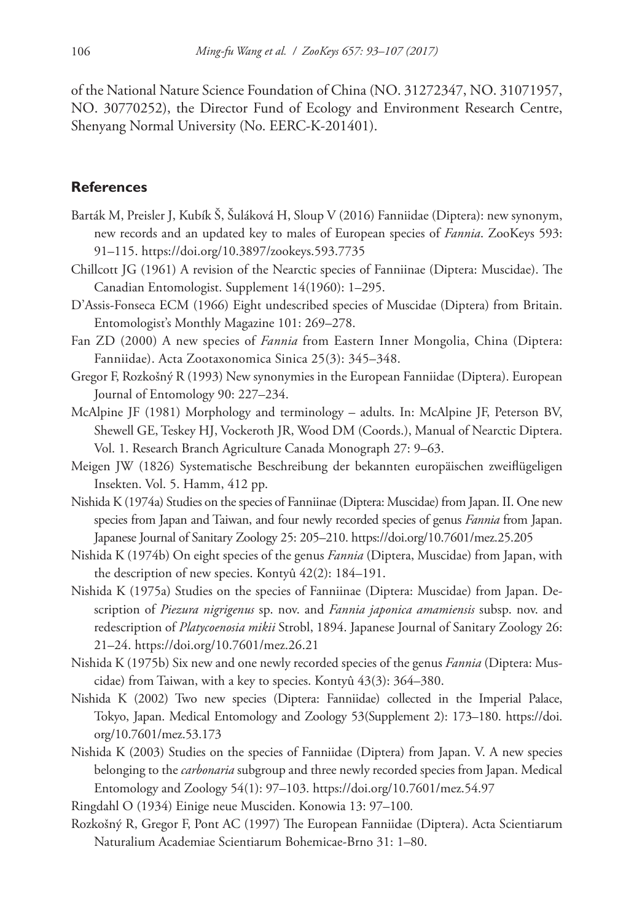of the National Nature Science Foundation of China (NO. 31272347, NO. 31071957, NO. 30770252), the Director Fund of Ecology and Environment Research Centre, Shenyang Normal University (No. EERC-K-201401).

## **References**

- Barták M, Preisler J, Kubík Š, Šuláková H, Sloup V (2016) Fanniidae (Diptera): new synonym, new records and an updated key to males of European species of *Fannia*. ZooKeys 593: 91–115.<https://doi.org/10.3897/zookeys.593.7735>
- Chillcott JG (1961) A revision of the Nearctic species of Fanniinae (Diptera: Muscidae). The Canadian Entomologist. Supplement 14(1960): 1–295.
- D'Assis-Fonseca ECM (1966) Eight undescribed species of Muscidae (Diptera) from Britain. Entomologist's Monthly Magazine 101: 269–278.
- Fan ZD (2000) A new species of *Fannia* from Eastern Inner Mongolia, China (Diptera: Fanniidae). Acta Zootaxonomica Sinica 25(3): 345–348.
- Gregor F, Rozkošný R (1993) New synonymies in the European Fanniidae (Diptera). European Journal of Entomology 90: 227–234.
- McAlpine JF (1981) Morphology and terminology adults. In: McAlpine JF, Peterson BV, Shewell GE, Teskey HJ, Vockeroth JR, Wood DM (Coords.), Manual of Nearctic Diptera. Vol. 1. Research Branch Agriculture Canada Monograph 27: 9–63.
- Meigen JW (1826) Systematische Beschreibung der bekannten europäischen zweiflügeligen Insekten. Vol. 5. Hamm, 412 pp.
- Nishida K (1974a) Studies on the species of Fanniinae (Diptera: Muscidae) from Japan. II. One new species from Japan and Taiwan, and four newly recorded species of genus *Fannia* from Japan. Japanese Journal of Sanitary Zoology 25: 205–210.<https://doi.org/10.7601/mez.25.205>
- Nishida K (1974b) On eight species of the genus *Fannia* (Diptera, Muscidae) from Japan, with the description of new species. Kontyû 42(2): 184–191.
- Nishida K (1975a) Studies on the species of Fanniinae (Diptera: Muscidae) from Japan. Description of *Piezura nigrigenus* sp. nov. and *Fannia japonica amamiensis* subsp. nov. and redescription of *Platycoenosia mikii* Strobl, 1894. Japanese Journal of Sanitary Zoology 26: 21–24.<https://doi.org/10.7601/mez.26.21>
- Nishida K (1975b) Six new and one newly recorded species of the genus *Fannia* (Diptera: Muscidae) from Taiwan, with a key to species. Kontyû 43(3): 364–380.
- Nishida K (2002) Two new species (Diptera: Fanniidae) collected in the Imperial Palace, Tokyo, Japan. Medical Entomology and Zoology 53(Supplement 2): 173–180. [https://doi.](https://doi.org/10.7601/mez.53.173) [org/10.7601/mez.53.173](https://doi.org/10.7601/mez.53.173)
- Nishida K (2003) Studies on the species of Fanniidae (Diptera) from Japan. V. A new species belonging to the *carbonaria* subgroup and three newly recorded species from Japan. Medical Entomology and Zoology 54(1): 97–103. <https://doi.org/10.7601/mez.54.97>
- Ringdahl O (1934) Einige neue Musciden. Konowia 13: 97–100*.*
- Rozkošný R, Gregor F, Pont AC (1997) The European Fanniidae (Diptera). Acta Scientiarum Naturalium Academiae Scientiarum Bohemicae-Brno 31: 1–80.